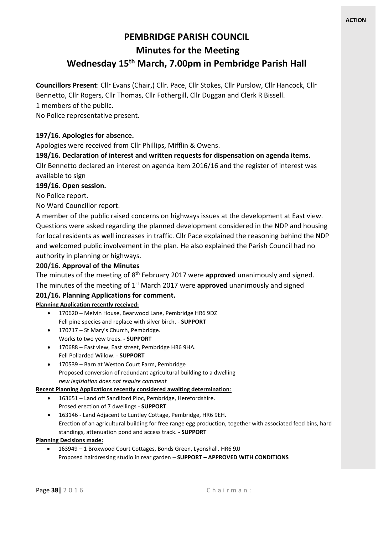# **PEMBRIDGE PARISH COUNCIL Minutes for the Meeting Wednesday 15th March, 7.00pm in Pembridge Parish Hall**

**Councillors Present**: Cllr Evans (Chair,) Cllr. Pace, Cllr Stokes, Cllr Purslow, Cllr Hancock, Cllr Bennetto, Cllr Rogers, Cllr Thomas, Cllr Fothergill, Cllr Duggan and Clerk R Bissell.

1 members of the public.

No Police representative present.

## **197/16. Apologies for absence.**

Apologies were received from Cllr Phillips, Mifflin & Owens.

**198/16. Declaration of interest and written requests for dispensation on agenda items.**

Cllr Bennetto declared an interest on agenda item 2016/16 and the register of interest was available to sign

#### **199/16. Open session.**

No Police report.

No Ward Councillor report.

A member of the public raised concerns on highways issues at the development at East view. Questions were asked regarding the planned development considered in the NDP and housing for local residents as well increases in traffic. Cllr Pace explained the reasoning behind the NDP and welcomed public involvement in the plan. He also explained the Parish Council had no authority in planning or highways.

### **200/16. Approval of the Minutes**

The minutes of the meeting of 8<sup>th</sup> February 2017 were **approved** unanimously and signed. The minutes of the meeting of 1<sup>st</sup> March 2017 were **approved** unanimously and signed

#### **201/16. Planning Applications for comment.**

#### **Planning Application recently received:**

- 170620 Melvin House, Bearwood Lane, Pembridge HR6 9DZ Fell pine species and replace with silver birch. - **SUPPORT**
- 170717 St Mary's Church, Pembridge. Works to two yew trees. **- SUPPORT**
- 170688 East view, East street, Pembridge HR6 9HA. Fell Pollarded Willow. - **SUPPORT**
- 170539 Barn at Weston Court Farm, Pembridge Proposed conversion of redundant agricultural building to a dwelling *new legislation does not require comment*

#### **Recent Planning Applications recently considered awaiting determination**:

- 163651 Land off Sandiford Ploc, Pembridge, Herefordshire. Prosed erection of 7 dwellings - **SUPPORT**
- 163146 Land Adjacent to Luntley Cottage, Pembridge, HR6 9EH. Erection of an agricultural building for free range egg production, together with associated feed bins, hard standings, attenuation pond and access track. **- SUPPORT**

#### **Planning Decisions made:**

• 163949 – 1 Broxwood Court Cottages, Bonds Green, Lyonshall. HR6 9JJ Proposed hairdressing studio in rear garden – **SUPPORT – APPROVED WITH CONDITIONS**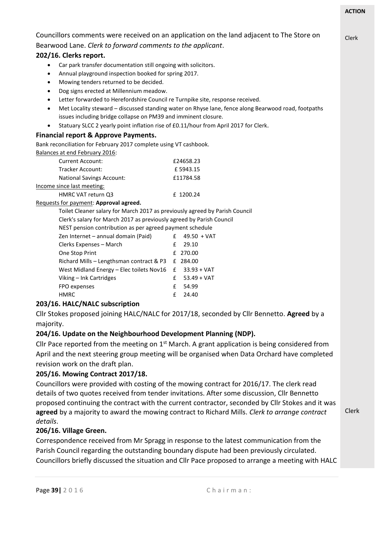Clerk

Clerk

Councillors comments were received on an application on the land adjacent to The Store on Bearwood Lane. *Clerk to forward comments to the applicant*.

# **202/16. Clerks report.**

- Car park transfer documentation still ongoing with solicitors.
- Annual playground inspection booked for spring 2017.
- Mowing tenders returned to be decided.
- Dog signs erected at Millennium meadow.
- Letter forwarded to Herefordshire Council re Turnpike site, response received.
- Met Locality steward discussed standing water on Rhyse lane, fence along Bearwood road, footpaths issues including bridge collapse on PM39 and imminent closure.
- Statuary SLCC 2 yearly point inflation rise of £0.11/hour from April 2017 for Clerk.

## **Financial report & Approve Payments.**

Bank reconciliation for February 2017 complete using VT cashbook. Balances at end February 2016:

| Balafices at eild Febl darv 2010. |           |
|-----------------------------------|-----------|
| <b>Current Account:</b>           | £24658.23 |
| Tracker Account:                  | £5943.15  |
| <b>National Savings Account:</b>  | £11784.58 |
| Income since last meeting:        |           |
| HMRC VAT return 03                | f 1200.24 |

### Requests for payment: **Approval agreed.**

Toilet Cleaner salary for March 2017 as previously agreed by Parish Council

Clerk's salary for March 2017 as previously agreed by Parish Council

NEST pension contribution as per agreed payment schedule

| Zen Internet – annual domain (Paid)                    | £ $49.50 + VAT$   |
|--------------------------------------------------------|-------------------|
| Clerks Expenses - March                                | $£$ 29.10         |
| One Stop Print                                         | £ 270.00          |
| Richard Mills – Lengthsman contract & P3 f 284.00      |                   |
| West Midland Energy – Elec toilets Nov16 £ 33.93 + VAT |                   |
| Viking – Ink Cartridges                                | $E = 53.49 + VAT$ |
| FPO expenses                                           | £ 54.99           |
| HMRC                                                   | $£$ 24.40         |
|                                                        |                   |

# **203/16. HALC/NALC subscription**

Cllr Stokes proposed joining HALC/NALC for 2017/18, seconded by Cllr Bennetto. **Agreed** by a majority.

# **204/16. Update on the Neighbourhood Development Planning (NDP).**

Cllr Pace reported from the meeting on  $1<sup>st</sup>$  March. A grant application is being considered from April and the next steering group meeting will be organised when Data Orchard have completed revision work on the draft plan.

# **205/16. Mowing Contract 2017/18.**

Councillors were provided with costing of the mowing contract for 2016/17. The clerk read details of two quotes received from tender invitations. After some discussion, Cllr Bennetto proposed continuing the contract with the current contractor, seconded by Cllr Stokes and it was **agreed** by a majority to award the mowing contract to Richard Mills. *Clerk to arrange contract details*.

# **206/16. Village Green.**

Correspondence received from Mr Spragg in response to the latest communication from the Parish Council regarding the outstanding boundary dispute had been previously circulated. Councillors briefly discussed the situation and Cllr Pace proposed to arrange a meeting with HALC